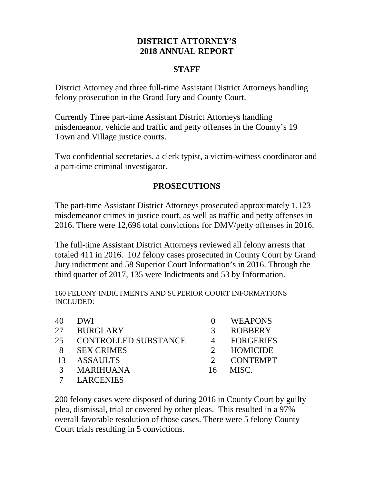# **DISTRICT ATTORNEY'S 2018 ANNUAL REPORT**

#### **STAFF**

District Attorney and three full-time Assistant District Attorneys handling felony prosecution in the Grand Jury and County Court.

Currently Three part-time Assistant District Attorneys handling misdemeanor, vehicle and traffic and petty offenses in the County's 19 Town and Village justice courts.

Two confidential secretaries, a clerk typist, a victim-witness coordinator and a part-time criminal investigator.

### **PROSECUTIONS**

The part-time Assistant District Attorneys prosecuted approximately 1,123 misdemeanor crimes in justice court, as well as traffic and petty offenses in 2016. There were 12,696 total convictions for DMV/petty offenses in 2016.

The full-time Assistant District Attorneys reviewed all felony arrests that totaled 411 in 2016. 102 felony cases prosecuted in County Court by Grand Jury indictment and 58 Superior Court Information's in 2016. Through the third quarter of 2017, 135 were Indictments and 53 by Information.

160 FELONY INDICTMENTS AND SUPERIOR COURT INFORMATIONS INCLUDED:

| 40            | DWI                         |    | <b>WEAPONS</b>   |
|---------------|-----------------------------|----|------------------|
| 27            | <b>BURGLARY</b>             | 3  | <b>ROBBERY</b>   |
| 25            | <b>CONTROLLED SUBSTANCE</b> |    | <b>FORGERIES</b> |
| -8            | <b>SEX CRIMES</b>           |    | <b>HOMICIDE</b>  |
| 13            | <b>ASSAULTS</b>             |    | <b>CONTEMPT</b>  |
| $\mathcal{R}$ | <b>MARIHUANA</b>            | 16 | MISC.            |
|               | <b>LARCENIES</b>            |    |                  |

200 felony cases were disposed of during 2016 in County Court by guilty plea, dismissal, trial or covered by other pleas. This resulted in a 97% overall favorable resolution of those cases. There were 5 felony County Court trials resulting in 5 convictions.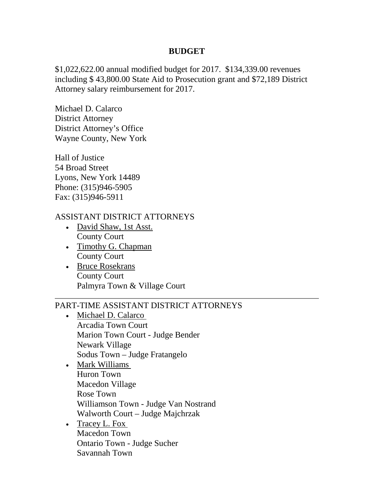#### **BUDGET**

\$1,022,622.00 annual modified budget for 2017. \$134,339.00 revenues including \$ 43,800.00 State Aid to Prosecution grant and \$72,189 District Attorney salary reimbursement for 2017.

Michael D. Calarco District Attorney District Attorney's Office Wayne County, New York

Hall of Justice 54 Broad Street Lyons, New York 14489 Phone: (315)946-5905 Fax: (315)946-5911

#### ASSISTANT DISTRICT ATTORNEYS

- David Shaw, 1st Asst. County Court
- Timothy G. Chapman County Court
- Bruce Rosekrans County Court Palmyra Town & Village Court

## PART-TIME ASSISTANT DISTRICT ATTORNEYS

- Michael D. Calarco Arcadia Town Court Marion Town Court - Judge Bender Newark Village Sodus Town – Judge Fratangelo
- Mark Williams Huron Town Macedon Village Rose Town Williamson Town - Judge Van Nostrand Walworth Court – Judge Majchrzak
- Tracey L. Fox Macedon Town Ontario Town - Judge Sucher Savannah Town